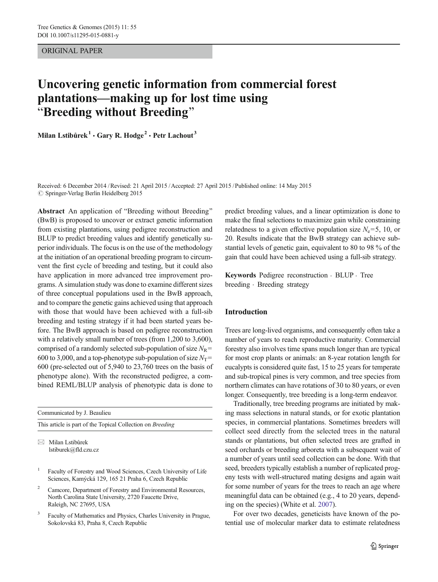ORIGINAL PAPER

# Uncovering genetic information from commercial forest plantations—making up for lost time using "Breeding without Breeding"

Milan Lstibůrek<sup>1</sup> · Gary R. Hodge<sup>2</sup> · Petr Lachout<sup>3</sup>

Received: 6 December 2014 /Revised: 21 April 2015 /Accepted: 27 April 2015 /Published online: 14 May 2015  $\oslash$  Springer-Verlag Berlin Heidelberg 2015

Abstract An application of "Breeding without Breeding" (BwB) is proposed to uncover or extract genetic information from existing plantations, using pedigree reconstruction and BLUP to predict breeding values and identify genetically superior individuals. The focus is on the use of the methodology at the initiation of an operational breeding program to circumvent the first cycle of breeding and testing, but it could also have application in more advanced tree improvement programs. A simulation study was done to examine different sizes of three conceptual populations used in the BwB approach, and to compare the genetic gains achieved using that approach with those that would have been achieved with a full-sib breeding and testing strategy if it had been started years before. The BwB approach is based on pedigree reconstruction with a relatively small number of trees (from 1,200 to 3,600), comprised of a randomly selected sub-population of size  $N_R$ = 600 to 3,000, and a top-phenotype sub-population of size  $N_T$ = 600 (pre-selected out of 5,940 to 23,760 trees on the basis of phenotype alone). With the reconstructed pedigree, a combined REML/BLUP analysis of phenotypic data is done to

Communicated by J. Beaulieu

This article is part of the Topical Collection on Breeding

 $\boxtimes$  Milan Lstibůrek lstiburek@fld.czu.cz

- <sup>1</sup> Faculty of Forestry and Wood Sciences, Czech University of Life Sciences, Kamýcká 129, 165 21 Praha 6, Czech Republic
- Camcore, Department of Forestry and Environmental Resources, North Carolina State University, 2720 Faucette Drive, Raleigh, NC 27695, USA
- <sup>3</sup> Faculty of Mathematics and Physics, Charles University in Prague, Sokolovská 83, Praha 8, Czech Republic

predict breeding values, and a linear optimization is done to make the final selections to maximize gain while constraining relatedness to a given effective population size  $N_e$ =5, 10, or 20. Results indicate that the BwB strategy can achieve substantial levels of genetic gain, equivalent to 80 to 98 % of the gain that could have been achieved using a full-sib strategy.

Keywords Pedigree reconstruction . BLUP . Tree breeding . Breeding strategy

# Introduction

Trees are long-lived organisms, and consequently often take a number of years to reach reproductive maturity. Commercial forestry also involves time spans much longer than are typical for most crop plants or animals: an 8-year rotation length for eucalypts is considered quite fast, 15 to 25 years for temperate and sub-tropical pines is very common, and tree species from northern climates can have rotations of 30 to 80 years, or even longer. Consequently, tree breeding is a long-term endeavor.

Traditionally, tree breeding programs are initiated by making mass selections in natural stands, or for exotic plantation species, in commercial plantations. Sometimes breeders will collect seed directly from the selected trees in the natural stands or plantations, but often selected trees are grafted in seed orchards or breeding arboreta with a subsequent wait of a number of years until seed collection can be done. With that seed, breeders typically establish a number of replicated progeny tests with well-structured mating designs and again wait for some number of years for the trees to reach an age where meaningful data can be obtained (e.g., 4 to 20 years, depending on the species) (White et al. [2007](#page-11-0)).

For over two decades, geneticists have known of the potential use of molecular marker data to estimate relatedness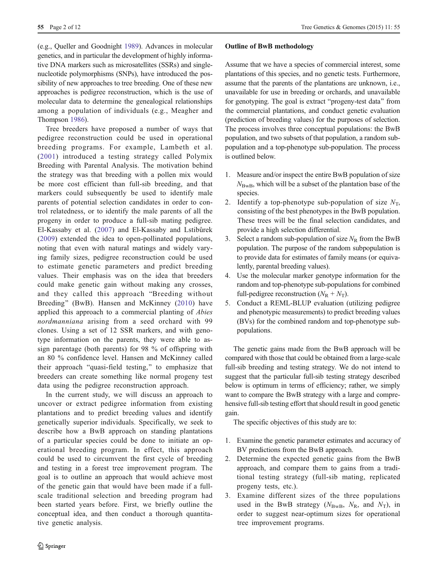(e.g., Queller and Goodnight [1989\)](#page-11-0). Advances in molecular genetics, and in particular the development of highly informative DNA markers such as microsatellites (SSRs) and singlenucleotide polymorphisms (SNPs), have introduced the possibility of new approaches to tree breeding. One of these new approaches is pedigree reconstruction, which is the use of molecular data to determine the genealogical relationships among a population of individuals (e.g., Meagher and Thompson [1986](#page-11-0)).

Tree breeders have proposed a number of ways that pedigree reconstruction could be used in operational breeding programs. For example, Lambeth et al. ([2001](#page-11-0)) introduced a testing strategy called Polymix Breeding with Parental Analysis. The motivation behind the strategy was that breeding with a pollen mix would be more cost efficient than full-sib breeding, and that markers could subsequently be used to identify male parents of potential selection candidates in order to control relatedness, or to identify the male parents of all the progeny in order to produce a full-sib mating pedigree. El-Kassaby et al. [\(2007\)](#page-11-0) and El-Kassaby and Lstibůrek [\(2009\)](#page-11-0) extended the idea to open-pollinated populations, noting that even with natural matings and widely varying family sizes, pedigree reconstruction could be used to estimate genetic parameters and predict breeding values. Their emphasis was on the idea that breeders could make genetic gain without making any crosses, and they called this approach "Breeding without Breeding" (BwB). Hansen and McKinney [\(2010\)](#page-11-0) have applied this approach to a commercial planting of Abies nordmanniana arising from a seed orchard with 99 clones. Using a set of 12 SSR markers, and with genotype information on the parents, they were able to assign parentage (both parents) for 98 % of offspring with an 80 % confidence level. Hansen and McKinney called their approach "quasi-field testing," to emphasize that breeders can create something like normal progeny test data using the pedigree reconstruction approach.

In the current study, we will discuss an approach to uncover or extract pedigree information from existing plantations and to predict breeding values and identify genetically superior individuals. Specifically, we seek to describe how a BwB approach on standing plantations of a particular species could be done to initiate an operational breeding program. In effect, this approach could be used to circumvent the first cycle of breeding and testing in a forest tree improvement program. The goal is to outline an approach that would achieve most of the genetic gain that would have been made if a fullscale traditional selection and breeding program had been started years before. First, we briefly outline the conceptual idea, and then conduct a thorough quantitative genetic analysis.

# Outline of BwB methodology

Assume that we have a species of commercial interest, some plantations of this species, and no genetic tests. Furthermore, assume that the parents of the plantations are unknown, i.e., unavailable for use in breeding or orchards, and unavailable for genotyping. The goal is extract "progeny-test data" from the commercial plantations, and conduct genetic evaluation (prediction of breeding values) for the purposes of selection. The process involves three conceptual populations: the BwB population, and two subsets of that population, a random subpopulation and a top-phenotype sub-population. The process is outlined below.

- 1. Measure and/or inspect the entire BwB population of size  $N_{\text{BwB}}$ , which will be a subset of the plantation base of the species.
- 2. Identify a top-phenotype sub-population of size  $N_{\text{T}}$ , consisting of the best phenotypes in the BwB population. These trees will be the final selection candidates, and provide a high selection differential.
- 3. Select a random sub-population of size  $N_R$  from the BwB population. The purpose of the random subpopulation is to provide data for estimates of family means (or equivalently, parental breeding values).
- 4. Use the molecular marker genotype information for the random and top-phenotype sub-populations for combined full-pedigree reconstruction  $(N_R + N_T)$ .
- 5. Conduct a REML-BLUP evaluation (utilizing pedigree and phenotypic measurements) to predict breeding values (BVs) for the combined random and top-phenotype subpopulations.

The genetic gains made from the BwB approach will be compared with those that could be obtained from a large-scale full-sib breeding and testing strategy. We do not intend to suggest that the particular full-sib testing strategy described below is optimum in terms of efficiency; rather, we simply want to compare the BwB strategy with a large and comprehensive full-sib testing effort that should result in good genetic gain.

The specific objectives of this study are to:

- 1. Examine the genetic parameter estimates and accuracy of BV predictions from the BwB approach.
- 2. Determine the expected genetic gains from the BwB approach, and compare them to gains from a traditional testing strategy (full-sib mating, replicated progeny tests, etc.).
- 3. Examine different sizes of the three populations used in the BwB strategy ( $N_{\text{BwB}}$ ,  $N_{\text{R}}$ , and  $N_{\text{T}}$ ), in order to suggest near-optimum sizes for operational tree improvement programs.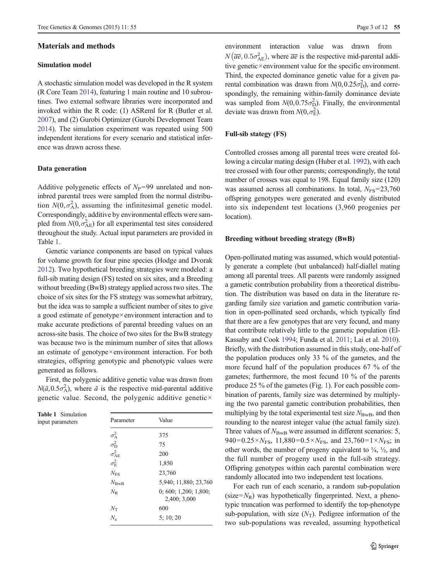# Materials and methods

# Simulation model

A stochastic simulation model was developed in the R system (R Core Team [2014\)](#page-11-0), featuring 1 main routine and 10 subroutines. Two external software libraries were incorporated and invoked within the R code: (1) ASReml for R (Butler et al. [2007\)](#page-11-0), and (2) Gurobi Optimizer (Gurobi Development Team [2014\)](#page-11-0). The simulation experiment was repeated using 500 independent iterations for every scenario and statistical inference was drawn across these.

# Data generation

Additive polygenetic effects of  $N_{\rm P}$ =99 unrelated and noninbred parental trees were sampled from the normal distribution  $N(0, \sigma_A^2)$ , assuming the infinitesimal genetic model. Correspondingly, additive by environmental effects were sampled from  $N(0, \sigma_{AE}^2)$  for all experimental test sites considered throughout the study. Actual input parameters are provided in Table 1.

Genetic variance components are based on typical values for volume growth for four pine species (Hodge and Dvorak [2012\)](#page-11-0). Two hypothetical breeding strategies were modeled: a full-sib mating design (FS) tested on six sites, and a Breeding without breeding (BwB) strategy applied across two sites. The choice of six sites for the FS strategy was somewhat arbitrary, but the idea was to sample a sufficient number of sites to give a good estimate of genotype×environment interaction and to make accurate predictions of parental breeding values on an across-site basis. The choice of two sites for the BwB strategy was because two is the minimum number of sites that allows an estimate of genotype×environment interaction. For both strategies, offspring genotypic and phenotypic values were generated as follows.

First, the polygenic additive genetic value was drawn from  $N(\bar{a}, 0.5\sigma_A^2)$ , where  $\bar{a}$  is the respective mid-parental additive genetic value. Second, the polygenic additive genetic $\times$ 

| <b>Table 1</b> Simulation<br>input parameters | Parameter          | Value                                 |  |
|-----------------------------------------------|--------------------|---------------------------------------|--|
|                                               | $\sigma_A^2$       | 375                                   |  |
|                                               | $\sigma_{\rm D}^2$ | 75                                    |  |
|                                               | $\sigma_{AE}^2$    | 200                                   |  |
|                                               | $\sigma_{\rm E}^2$ | 1,850                                 |  |
|                                               | $N_{\rm FS}$       | 23,760                                |  |
|                                               | $N_{\rm BwB}$      | 5,940; 11,880; 23,760                 |  |
|                                               | $N_{\rm R}$        | 0; 600; 1,200; 1,800;<br>2,400; 3,000 |  |
|                                               | $N_{\rm T}$        | 600                                   |  |
|                                               | $N_e$              | 5:10:20                               |  |
|                                               |                    |                                       |  |

environment interaction value was drawn from  $N(\overline{ae}, 0.5\sigma_{AE}^2)$ , where  $\overline{ae}$  is the respective mid-parental additive genetic×environment value for the specific environment. Third, the expected dominance genetic value for a given parental combination was drawn from  $N(0, 0.25\sigma_D^2)$ , and correspondingly, the remaining within-family dominance deviate was sampled from  $N(0, 0.75\sigma_D^2)$ . Finally, the environmental deviate was drawn from  $N(0, \sigma_{\rm E}^2)$ .

### Full-sib stategy (FS)

Controlled crosses among all parental trees were created following a circular mating design (Huber et al. [1992](#page-11-0)), with each tree crossed with four other parents; correspondingly, the total number of crosses was equal to 198. Equal family size (120) was assumed across all combinations. In total,  $N_{FS}=23,760$ offspring genotypes were generated and evenly distributed into six independent test locations (3,960 progenies per location).

#### Breeding without breeding strategy (BwB)

Open-pollinated mating was assumed, which would potentially generate a complete (but unbalanced) half-diallel mating among all parental trees. All parents were randomly assigned a gametic contribution probability from a theoretical distribution. The distribution was based on data in the literature regarding family size variation and gametic contribution variation in open-pollinated seed orchards, which typically find that there are a few genotypes that are very fecund, and many that contribute relatively little to the gametic population (El-Kassaby and Cook [1994](#page-11-0); Funda et al. [2011](#page-11-0); Lai et al. [2010\)](#page-11-0). Briefly, with the distribution assumed in this study, one-half of the population produces only 33 % of the gametes, and the more fecund half of the population produces 67 % of the gametes; furthermore, the most fecund 10 % of the parents produce 25 % of the gametes (Fig. [1\)](#page-3-0). For each possible combination of parents, family size was determined by multiplying the two parental gametic contribution probabilities, then multiplying by the total experimental test size  $N_{\text{BwB}}$ , and then rounding to the nearest integer value (the actual family size). Three values of  $N_{\text{BwB}}$  were assumed in different scenarios: 5, 940=0.25× $N_{FS}$ , 11,880=0.5× $N_{FS}$ , and 23,760=1× $N_{FS}$ ; in other words, the number of progeny equivalent to  $\frac{1}{4}$ ,  $\frac{1}{2}$ , and the full number of progeny used in the full-sib strategy. Offspring genotypes within each parental combination were randomly allocated into two independent test locations.

For each run of each scenario, a random sub-population (size= $N_R$ ) was hypothetically fingerprinted. Next, a phenotypic truncation was performed to identify the top-phenotype sub-population, with size  $(N_T)$ . Pedigree information of the two sub-populations was revealed, assuming hypothetical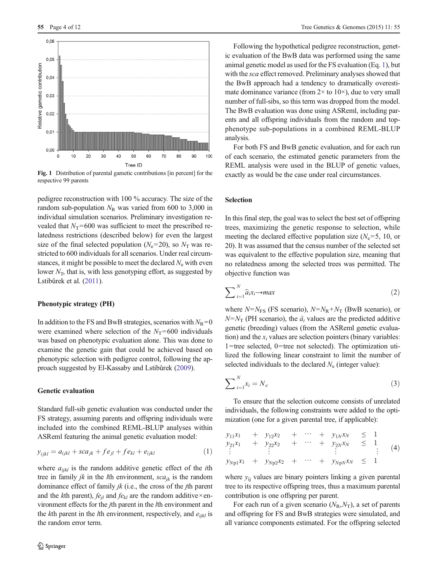<span id="page-3-0"></span>

Fig. 1 Distribution of parental gametic contributions [in percent] for the respective 99 parents

pedigree reconstruction with 100 % accuracy. The size of the random sub-population  $N_R$  was varied from 600 to 3,000 in individual simulation scenarios. Preliminary investigation revealed that  $N_T$ =600 was sufficient to meet the prescribed relatedness restrictions (described below) for even the largest size of the final selected population ( $N_e$ =20), so  $N_T$  was restricted to 600 individuals for all scenarios. Under real circumstances, it might be possible to meet the declared  $N_e$  with even lower  $N<sub>T</sub>$ , that is, with less genotyping effort, as suggested by Lstibůrek et al. [\(2011\)](#page-11-0).

# Phenotypic strategy (PH)

In addition to the FS and BwB strategies, scenarios with  $N_R=0$ were examined where selection of the  $N_T$ =600 individuals was based on phenotypic evaluation alone. This was done to examine the genetic gain that could be achieved based on phenotypic selection with pedigree control, following the approach suggested by El-Kassaby and Lstibůrek [\(2009\)](#page-11-0).

# Genetic evaluation

Standard full-sib genetic evaluation was conducted under the FS strategy, assuming parents and offspring individuals were included into the combined REML-BLUP analyses within ASReml featuring the animal genetic evaluation model:

$$
y_{ijkl} = a_{ijkl} + sca_{jk} + fe_{jl} + fe_{kl} + e_{ijkl}
$$
 (1)

where  $a_{ijkl}$  is the random additive genetic effect of the *i*th tree in family jk in the lth environment,  $sca_{ik}$  is the random dominance effect of family  $jk$  (i.e., the cross of the *j*th parent and the kth parent),  $f_{eil}$  and  $f_{ekl}$  are the random additive×environment effects for the *j*th parent in the *l*th environment and the kth parent in the lth environment, respectively, and  $e_{ijkl}$  is the random error term.

Following the hypothetical pedigree reconstruction, genetic evaluation of the BwB data was performed using the same animal genetic model as used for the FS evaluation (Eq. 1), but with the sca effect removed. Preliminary analyses showed that the BwB approach had a tendency to dramatically overestimate dominance variance (from  $2 \times$  to  $10 \times$ ), due to very small number of full-sibs, so this term was dropped from the model. The BwB evaluation was done using ASReml, including parents and all offspring individuals from the random and topphenotype sub-populations in a combined REML-BLUP analysis.

For both FS and BwB genetic evaluation, and for each run of each scenario, the estimated genetic parameters from the REML analysis were used in the BLUP of genetic values, exactly as would be the case under real circumstances.

# Selection

In this final step, the goal was to select the best set of offspring trees, maximizing the genetic response to selection, while meeting the declared effective population size ( $N_e$ =5, 10, or 20). It was assumed that the census number of the selected set was equivalent to the effective population size, meaning that no relatedness among the selected trees was permitted. The objective function was

$$
\sum_{i=1}^{N} \hat{a}_i x_i \rightarrow max \tag{2}
$$

where  $N=N_{FS}$  (FS scenario),  $N=N_R+N_T$  (BwB scenario), or  $N=N<sub>T</sub>$  (PH scenario), the  $\hat{a}_i$  values are the predicted additive genetic (breeding) values (from the ASReml genetic evaluation) and the  $x_i$  values are selection pointers (binary variables: 1=tree selected, 0=tree not selected). The optimization utilized the following linear constraint to limit the number of selected individuals to the declared  $N<sub>e</sub>$  (integer value):

$$
\sum_{i=1}^{N} x_i = N_e \tag{3}
$$

To ensure that the selection outcome consists of unrelated individuals, the following constraints were added to the optimization (one for a given parental tree, if applicable):

$$
y_{11}x_1 + y_{12}x_2 + \cdots + y_{1N}x_N \le 1\n y_{21}x_1 + y_{22}x_2 + \cdots + y_{2N}x_N \le 1\n \vdots \qquad \vdots \qquad \vdots \qquad \vdots \qquad \vdots \qquad \vdots
$$
\n
$$
y_{Np1}x_1 + y_{Np2}x_2 + \cdots + y_{NpN}x_N \le 1
$$
\n(4)

where  $y_{ij}$  values are binary pointers linking a given parental tree to its respective offspring trees, thus a maximum parental contribution is one offspring per parent.

For each run of a given scenario  $(N_R, N_T)$ , a set of parents and offspring for FS and BwB strategies were simulated, and all variance components estimated. For the offspring selected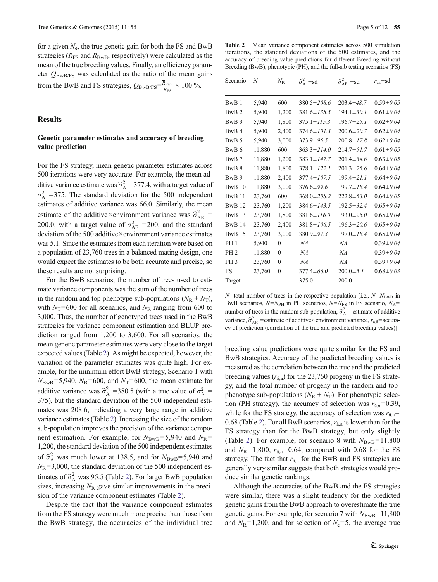<span id="page-4-0"></span>for a given  $N_e$ , the true genetic gain for both the FS and BwB strategies ( $R_{FS}$  and  $R_{BwB}$ , respectively) were calculated as the mean of the true breeding values. Finally, an efficiency parameter  $Q_{\text{BwB/FS}}$  was calculated as the ratio of the mean gains from the BwB and FS strategies,  $Q_{\text{BwB/FS}} = \frac{R_{\text{BwB}}}{R_{\text{FS}}} \times 100 \text{ %}.$ 

## Results

# Genetic parameter estimates and accuracy of breeding value prediction

For the FS strategy, mean genetic parameter estimates across 500 iterations were very accurate. For example, the mean additive variance estimate was  $\hat{\sigma}_{A}^{2}$  =377.4, with a target value of  $\sigma_{\rm A}^2$  =375. The standard deviation for the 500 independent estimates of additive variance was 66.0. Similarly, the mean estimate of the additive×environment variance was  $\hat{\sigma}_{AE}^2$  = 200.0, with a target value of  $\sigma_{AE}^2$  = 200, and the standard deviation of the 500 additive×environment variance estimates was 5.1. Since the estimates from each iteration were based on a population of 23,760 trees in a balanced mating design, one would expect the estimates to be both accurate and precise, so these results are not surprising.

For the BwB scenarios, the number of trees used to estimate variance components was the sum of the number of trees in the random and top phenotype sub-populations  $(N_R + N_T)$ , with  $N_T$ =600 for all scenarios, and  $N_R$  ranging from 600 to 3,000. Thus, the number of genotyped trees used in the BwB strategies for variance component estimation and BLUP prediction ranged from 1,200 to 3,600. For all scenarios, the mean genetic parameter estimates were very close to the target expected values (Table 2). As might be expected, however, the variation of the parameter estimates was quite high. For example, for the minimum effort BwB strategy, Scenario 1 with  $N_{\text{BwB}}$ =5,940,  $N_{\text{R}}$ =600, and  $N_{\text{T}}$ =600, the mean estimate for additive variance was  $\hat{\sigma}_{A}^{2}$  =380.5 (with a true value of  $\sigma_{A}^{2}$  = 375), but the standard deviation of the 500 independent estimates was 208.6, indicating a very large range in additive variance estimates (Table 2). Increasing the size of the random sub-population improves the precision of the variance component estimation. For example, for  $N_{BwB} = 5,940$  and  $N_R =$ 1,200, the standard deviation of the 500 independent estimates of  $\hat{\sigma}_{A}^{2}$  was much lower at 138.5, and for  $N_{\text{BwB}}$ =5,940 and  $N_R$ =3,000, the standard deviation of the 500 independent estimates of  $\hat{\sigma}_{A}^{2}$  was 95.5 (Table 2). For larger BwB population sizes, increasing  $N_R$  gave similar improvements in the precision of the variance component estimates (Table 2).

Despite the fact that the variance component estimates from the FS strategy were much more precise than those from the BwB strategy, the accuracies of the individual tree

Table 2 Mean variance component estimates across 500 simulation iterations, the standard deviations of the 500 estimates, and the accuracy of breeding value predictions for different Breeding without Breeding (BwB), phenotypic (PH), and the full-sib testing scenarios (FS)

| Scenario          | N      | $N_{\rm R}$ | $\widehat{\sigma}_{\Delta}^2 \pm sd$ | $\hat{\sigma}_{AF}^2 \pm sd$ | $r_{\text{a}\hat{\text{a}}} \pm \text{sd}$ |
|-------------------|--------|-------------|--------------------------------------|------------------------------|--------------------------------------------|
| BwB 1             | 5,940  | 600         | $380.5 \pm 208.6$                    | $203.4 \pm 48.7$             | $0.59 \pm 0.05$                            |
| BwB <sub>2</sub>  | 5,940  | 1,200       | $381.6 \pm 138.5$                    | $194.1 \pm 30.1$             | $0.61 \pm 0.04$                            |
| BwB3              | 5,940  | 1,800       | $375.1 \pm 115.3$                    | $196.7 \pm 25.1$             | $0.62 \pm 0.04$                            |
| BwB4              | 5,940  | 2,400       | $374.6 \pm 101.3$                    | $200.6 \pm 20.7$             | $0.62 \pm 0.04$                            |
| BwB <sub>5</sub>  | 5,940  | 3,000       | $373.9 \pm 95.5$                     | $200.8 \pm 17.8$             | $0.62 \pm 0.04$                            |
| BwB 6             | 11,880 | 600         | $363.3 \pm 214.0$                    | $214.7 \pm 51.7$             | $0.61 \pm 0.05$                            |
| BwB 7             | 11,880 | 1,200       | $383.1 \pm 147.7$                    | $201.4 \pm 34.6$             | $0.63 \pm 0.05$                            |
| BwB 8             | 11,880 | 1,800       | $378.1 \pm 122.1$                    | $201.3 \pm 25.6$             | $0.64 \pm 0.04$                            |
| BwB 9             | 11,880 | 2,400       | $377.4 \pm 107.5$                    | $199.4 \pm 21.1$             | $0.64 \pm 0.04$                            |
| BwB10             | 11,880 | 3,000       | $376.6 \pm 99.6$                     | $199.7 \pm 18.4$             | $0.64 \pm 0.04$                            |
| BwB11             | 23,760 | 600         | $368.0 \pm 208.2$                    | $222.8 \pm 53.0$             | $0.64 \pm 0.05$                            |
| <b>BwB</b> 12     | 23,760 | 1,200       | $384.6 \pm 143.5$                    | $192.5 \pm 32.4$             | $0.65 \pm 0.04$                            |
| BwB13             | 23,760 | 1,800       | $381.6 \pm 116.0$                    | $193.0 \pm 25.0$             | $0.65 \pm 0.04$                            |
| BwB14             | 23,760 | 2,400       | $381.8 \pm 106.5$                    | $196.3 \pm 20.6$             | $0.65 \pm 0.04$                            |
| BwB <sub>15</sub> | 23,760 | 3,000       | $380.9 \pm 97.3$                     | $197.0 \pm 18.4$             | $0.65 \pm 0.04$                            |
| <b>PH 1</b>       | 5,940  | 0           | NA                                   | NА                           | $0.39 \pm 0.04$                            |
| <b>PH 2</b>       | 11,880 | $\theta$    | NA                                   | NA                           | $0.39 \pm 0.04$                            |
| PH <sub>3</sub>   | 23,760 | $\theta$    | NA                                   | NA                           | $0.39 \pm 0.04$                            |
| FS                | 23,760 | $\theta$    | $377.4 \pm 66.0$                     | $200.0 \pm 5.1$              | $0.68 \pm 0.03$                            |
| Target            |        |             | 375.0                                | 200.0                        |                                            |

 $N$ =total number of trees in the respective population [i.e.,  $N=N_{\text{BwB}}$  in BwB scenarios,  $N=N_{\text{PH}}$  in PH scenarios,  $N=N_{\text{FS}}$  in FS scenario,  $N_{\text{R}}=$ number of trees in the random sub-population,  $\hat{\sigma}_{A}^{2}$  =estimate of additive variance,  $\hat{\sigma}_{AE}^2$  =estimate of additive×environment variance,  $r_{a,\hat{a}}$ =accuracy of prediction (correlation of the true and predicted breeding values)]

breeding value predictions were quite similar for the FS and BwB strategies. Accuracy of the predicted breeding values is measured as the correlation between the true and the predicted breeding values  $(r_{\hat{a},a})$  for the 23,760 progeny in the FS strategy, and the total number of progeny in the random and topphenotype sub-populations  $(N_R + N_T)$ . For phenotypic selection (PH strategy), the accuracy of selection was  $r_{\hat{a},a}=0.39$ , while for the FS strategy, the accuracy of selection was  $r_{\hat{a},a}$ = 0.68 (Table 2). For all BwB scenarios,  $r_{\hat{a},a}$  is lower than for the FS strategy than for the BwB strategy, but only slightly (Table 2). For example, for scenario 8 with  $N_{\text{BwB}}=11,800$ and  $N_R=1,800$ ,  $r_{\hat{a},a}=0.64$ , compared with 0.68 for the FS strategy. The fact that  $r_{\hat{a},a}$  for the BwB and FS strategies are generally very similar suggests that both strategies would produce similar genetic rankings.

Although the accuracies of the BwB and the FS strategies were similar, there was a slight tendency for the predicted genetic gains from the BwB approach to overestimate the true genetic gains. For example, for scenario 7 with  $N_{BwB} = 11,800$ and  $N_R$ =1,200, and for selection of  $N_e$ =5, the average true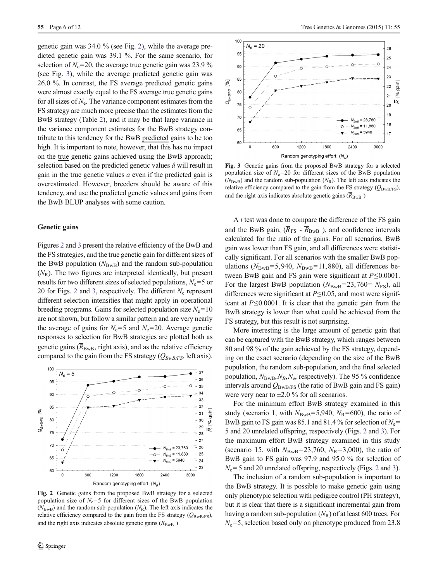<span id="page-5-0"></span>genetic gain was 34.0 % (see Fig. 2), while the average predicted genetic gain was 39.1 %. For the same scenario, for selection of  $N_e$ =20, the average true genetic gain was 23.9 % (see Fig. 3), while the average predicted genetic gain was 26.0 %. In contrast, the FS average predicted genetic gains were almost exactly equal to the FS average true genetic gains for all sizes of  $N_e$ . The variance component estimates from the FS strategy are much more precise than the estimates from the BwB strategy (Table [2](#page-4-0)), and it may be that large variance in the variance component estimates for the BwB strategy contribute to this tendency for the BwB predicted gains to be too high. It is important to note, however, that this has no impact on the true genetic gains achieved using the BwB approach; selection based on the predicted genetic values  $\hat{a}$  will result in gain in the true genetic values  $a$  even if the predicted gain is overestimated. However, breeders should be aware of this tendency, and use the predicted genetic values and gains from the BwB BLUP analyses with some caution.

### Genetic gains

Figures 2 and 3 present the relative efficiency of the BwB and the FS strategies, and the true genetic gain for different sizes of the BwB population  $(N_{\text{BwB}})$  and the random sub-population  $(N<sub>R</sub>)$ . The two figures are interpreted identically, but present results for two different sizes of selected populations,  $N_e = 5$  or 20 for Figs. 2 and 3, respectively. The different  $N_e$  represent different selection intensities that might apply in operational breeding programs. Gains for selected population size  $N_e$ =10 are not shown, but follow a similar pattern and are very nearly the average of gains for  $N_e=5$  and  $N_e=20$ . Average genetic responses to selection for BwB strategies are plotted both as genetic gains ( $\overline{R}_{\text{BwB}}$ , right axis), and as the relative efficiency compared to the gain from the FS strategy ( $Q_{BwB/FS}$ , left axis).



Fig. 2 Genetic gains from the proposed BwB strategy for a selected population size of  $N_e = 5$  for different sizes of the BwB population  $(N_{\text{BwB}})$  and the random sub-population  $(N_{\text{R}})$ . The left axis indicates the relative efficiency compared to the gain from the FS strategy  $(Q_{\text{BwB/FS}})$ , and the right axis indicates absolute genetic gains ( $\overline{R}_{\text{BwB}}$ )



Fig. 3 Genetic gains from the proposed BwB strategy for a selected population size of  $N_e$ =20 for different sizes of the BwB population  $(N_{\text{BwB}})$  and the random sub-population  $(N_{\text{R}})$ . The left axis indicates the relative efficiency compared to the gain from the FS strategy  $(Q_{\text{BwB/FS}})$ , and the right axis indicates absolute genetic gains ( $\overline{R}_{\text{BwB}}$ )

A  $t$  test was done to compare the difference of the FS gain and the BwB gain,  $(\overline{R}_{FS} - \overline{R}_{BWB})$ , and confidence intervals calculated for the ratio of the gains. For all scenarios, BwB gain was lower than FS gain, and all differences were statistically significant. For all scenarios with the smaller BwB populations ( $N_{\text{BwB}}$ =5,940,  $N_{\text{BwB}}$ =11,880), all differences between BwB gain and FS gain were significant at  $P \le 0.0001$ . For the largest BwB population ( $N_{\text{BwB}}$ =23,760=  $N_{\text{FS}}$ ), all differences were significant at  $P \le 0.05$ , and most were significant at  $P \le 0.0001$ . It is clear that the genetic gain from the BwB strategy is lower than what could be achieved from the FS strategy, but this result is not surprising.

More interesting is the large amount of genetic gain that can be captured with the BwB strategy, which ranges between 80 and 98 % of the gain achieved by the FS strategy, depending on the exact scenario (depending on the size of the BwB population, the random sub-population, and the final selected population,  $N_{\text{BwB}}$ ,  $N_R$ ,  $N_e$ , respectively). The 95 % confidence intervals around  $Q_{BwB/FS}$  (the ratio of BwB gain and FS gain) were very near to  $\pm 2.0$  % for all scenarios.

For the minimum effort BwB strategy examined in this study (scenario 1, with  $N_{\text{BwB}}=5,940$ ,  $N_{\text{R}}=600$ ), the ratio of BwB gain to FS gain was 85.1 and 81.4% for selection of  $N_e$ = 5 and 20 unrelated offspring, respectively (Figs. 2 and 3). For the maximum effort BwB strategy examined in this study (scenario 15, with  $N_{\text{BwB}}$ =23,760,  $N_{\text{R}}$ =3,000), the ratio of BwB gain to FS gain was 97.9 and 95.0 % for selection of  $N_e$ = 5 and 20 unrelated offspring, respectively (Figs. 2 and 3).

The inclusion of a random sub-population is important to the BwB strategy. It is possible to make genetic gain using only phenotypic selection with pedigree control (PH strategy), but it is clear that there is a significant incremental gain from having a random sub-population  $(N_R)$  of at least 600 trees. For  $N_e$ =5, selection based only on phenotype produced from 23.8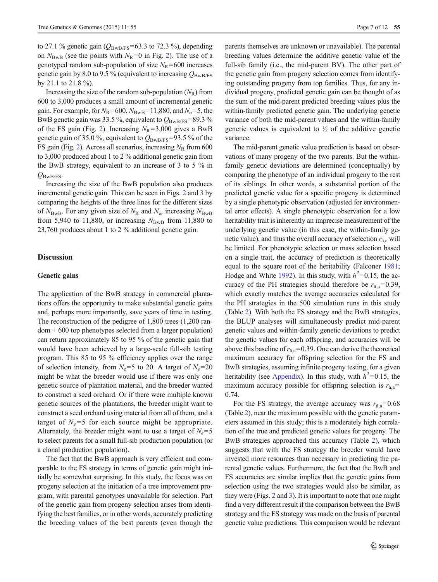to 27.1 % genetic gain ( $Q_{\text{BwB/FS}}$ =63.3 to 72.3 %), depending on  $N_{BwB}$  (see the points with  $N_R=0$  in Fig. [2](#page-5-0)). The use of a genotyped random sub-population of size  $N_R$ =600 increases genetic gain by 8.0 to 9.5 % (equivalent to increasing  $Q_{\text{BwB/FS}}$ by 21.1 to 21.8 %).

Increasing the size of the random sub-population  $(N_R)$  from 600 to 3,000 produces a small amount of incremental genetic gain. For example, for  $N_R$ =600,  $N_{BWB}$ =11,880, and  $N_e$ =5, the BwB genetic gain was 33.5%, equivalent to  $Q_{\text{BwB/FS}}$ =89.3% of the FS gain (Fig. [2\)](#page-5-0). Increasing  $N_R$ =3,000 gives a BwB genetic gain of 35.0 %, equivalent to  $Q_{\text{BwB/FS}}$ =93.5 % of the FS gain (Fig. [2\)](#page-5-0). Across all scenarios, increasing  $N<sub>R</sub>$  from 600 to 3,000 produced about 1 to 2 % additional genetic gain from the BwB strategy, equivalent to an increase of 3 to 5 % in  $Q_{\text{BwB/FS}}$ 

Increasing the size of the BwB population also produces incremental genetic gain. This can be seen in Figs. [2](#page-5-0) and [3](#page-5-0) by comparing the heights of the three lines for the different sizes of  $N_{\text{BwB}}$ . For any given size of  $N_{\text{R}}$  and  $N_{\text{e}}$ , increasing  $N_{\text{BwB}}$ from 5,940 to 11,880, or increasing  $N_{\text{BwB}}$  from 11,880 to 23,760 produces about 1 to 2 % additional genetic gain.

# Discussion

# Genetic gains

The application of the BwB strategy in commercial plantations offers the opportunity to make substantial genetic gains and, perhaps more importantly, save years of time in testing. The reconstruction of the pedigree of 1,800 trees (1,200 ran $dom + 600$  top phenotypes selected from a larger population) can return approximately 85 to 95 % of the genetic gain that would have been achieved by a large-scale full-sib testing program. This 85 to 95 % efficiency applies over the range of selection intensity, from  $N_e=5$  to 20. A target of  $N_e=20$ might be what the breeder would use if there was only one genetic source of plantation material, and the breeder wanted to construct a seed orchard. Or if there were multiple known genetic sources of the plantations, the breeder might want to construct a seed orchard using material from all of them, and a target of  $N_e$ =5 for each source might be appropriate. Alternately, the breeder might want to use a target of  $N_e = 5$ to select parents for a small full-sib production population (or a clonal production population).

The fact that the BwB approach is very efficient and comparable to the FS strategy in terms of genetic gain might initially be somewhat surprising. In this study, the focus was on progeny selection at the initiation of a tree improvement program, with parental genotypes unavailable for selection. Part of the genetic gain from progeny selection arises from identifying the best families, or in other words, accurately predicting the breeding values of the best parents (even though the

parents themselves are unknown or unavailable). The parental breeding values determine the additive genetic value of the full-sib family (i.e., the mid-parent BV). The other part of the genetic gain from progeny selection comes from identifying outstanding progeny from top families. Thus, for any individual progeny, predicted genetic gain can be thought of as the sum of the mid-parent predicted breeding values plus the within-family predicted genetic gain. The underlying genetic variance of both the mid-parent values and the within-family genetic values is equivalent to  $\frac{1}{2}$  of the additive genetic variance.

The mid-parent genetic value prediction is based on observations of many progeny of the two parents. But the withinfamily genetic deviations are determined (conceptually) by comparing the phenotype of an individual progeny to the rest of its siblings. In other words, a substantial portion of the predicted genetic value for a specific progeny is determined by a single phenotypic observation (adjusted for environmental error effects). A single phenotypic observation for a low heritability trait is inherently an imprecise measurement of the underlying genetic value (in this case, the within-family genetic value), and thus the overall accuracy of selection  $r_{\hat{a},a}$  will be limited. For phenotypic selection or mass selection based on a single trait, the accuracy of prediction is theoretically equal to the square root of the heritability (Falconer [1981;](#page-11-0) Hodge and White [1992](#page-11-0)). In this study, with  $h^2 = 0.15$ , the accuracy of the PH strategies should therefore be  $r_{\hat{a},a}=0.39$ , which exactly matches the average accuracies calculated for the PH strategies in the 500 simulation runs in this study (Table [2](#page-4-0)). With both the FS strategy and the BwB strategies, the BLUP analyses will simultaneously predict mid-parent genetic values and within-family genetic deviations to predict the genetic values for each offspring, and accuracies will be above this baseline of  $r_{\hat{a},a}=0.39$ . One can derive the theoretical maximum accuracy for offspring selection for the FS and BwB strategies, assuming infinite progeny testing, for a given heritability (see [Appendix\)](#page-10-0). In this study, with  $h^2 = 0.15$ , the maximum accuracy possible for offspring selection is  $r_{\hat{a},a}$ = 0.74.

For the FS strategy, the average accuracy was  $r_{\hat{a},a}=0.68$ (Table [2\)](#page-4-0), near the maximum possible with the genetic parameters assumed in this study; this is a moderately high correlation of the true and predicted genetic values for progeny. The BwB strategies approached this accuracy (Table [2\)](#page-4-0), which suggests that with the FS strategy the breeder would have invested more resources than necessary in predicting the parental genetic values. Furthermore, the fact that the BwB and FS accuracies are similar implies that the genetic gains from selection using the two strategies would also be similar, as they were (Figs. [2](#page-5-0) and [3\)](#page-5-0). It is important to note that one might find a very different result if the comparison between the BwB strategy and the FS strategy was made on the basis of parental genetic value predictions. This comparison would be relevant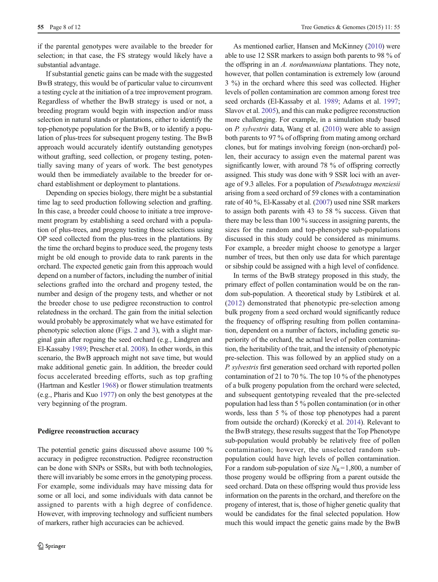if the parental genotypes were available to the breeder for selection; in that case, the FS strategy would likely have a substantial advantage.

If substantial genetic gains can be made with the suggested BwB strategy, this would be of particular value to circumvent a testing cycle at the initiation of a tree improvement program. Regardless of whether the BwB strategy is used or not, a breeding program would begin with inspection and/or mass selection in natural stands or plantations, either to identify the top-phenotype population for the BwB, or to identify a population of plus-trees for subsequent progeny testing. The BwB approach would accurately identify outstanding genotypes without grafting, seed collection, or progeny testing, potentially saving many of years of work. The best genotypes would then be immediately available to the breeder for orchard establishment or deployment to plantations.

Depending on species biology, there might be a substantial time lag to seed production following selection and grafting. In this case, a breeder could choose to initiate a tree improvement program by establishing a seed orchard with a population of plus-trees, and progeny testing those selections using OP seed collected from the plus-trees in the plantations. By the time the orchard begins to produce seed, the progeny tests might be old enough to provide data to rank parents in the orchard. The expected genetic gain from this approach would depend on a number of factors, including the number of initial selections grafted into the orchard and progeny tested, the number and design of the progeny tests, and whether or not the breeder chose to use pedigree reconstruction to control relatedness in the orchard. The gain from the initial selection would probably be approximately what we have estimated for phenotypic selection alone (Figs. [2](#page-5-0) and [3\)](#page-5-0), with a slight marginal gain after roguing the seed orchard (e.g., Lindgren and El-Kassaby [1989](#page-11-0); Prescher et al. [2008](#page-11-0)). In other words, in this scenario, the BwB approach might not save time, but would make additional genetic gain. In addition, the breeder could focus accelerated breeding efforts, such as top grafting (Hartman and Kestler [1968\)](#page-11-0) or flower stimulation treatments (e.g., Pharis and Kuo [1977](#page-11-0)) on only the best genotypes at the very beginning of the program.

#### Pedigree reconstruction accuracy

The potential genetic gains discussed above assume 100 % accuracy in pedigree reconstruction. Pedigree reconstruction can be done with SNPs or SSRs, but with both technologies, there will invariably be some errors in the genotyping process. For example, some individuals may have missing data for some or all loci, and some individuals with data cannot be assigned to parents with a high degree of confidence. However, with improving technology and sufficient numbers of markers, rather high accuracies can be achieved.

As mentioned earlier, Hansen and McKinney [\(2010\)](#page-11-0) were able to use 12 SSR markers to assign both parents to 98 % of the offspring in an A. nordmanniana plantations. They note, however, that pollen contamination is extremely low (around 3 %) in the orchard where this seed was collected. Higher levels of pollen contamination are common among forest tree seed orchards (El-Kassaby et al. [1989](#page-11-0); Adams et al. [1997;](#page-11-0) Slavov et al. [2005](#page-11-0)), and this can make pedigree reconstruction more challenging. For example, in a simulation study based on P. sylvestris data, Wang et al. [\(2010](#page-11-0)) were able to assign both parents to 97 % of offspring from mating among orchard clones, but for matings involving foreign (non-orchard) pollen, their accuracy to assign even the maternal parent was significantly lower, with around 78 % of offspring correctly assigned. This study was done with 9 SSR loci with an average of 9.3 alleles. For a population of Pseudotsuga menziesii arising from a seed orchard of 59 clones with a contamination rate of 40 %, El-Kassaby et al. [\(2007\)](#page-11-0) used nine SSR markers to assign both parents with 43 to 58 % success. Given that there may be less than 100 % success in assigning parents, the sizes for the random and top-phenotype sub-populations discussed in this study could be considered as minimums. For example, a breeder might choose to genotype a larger number of trees, but then only use data for which parentage or sibship could be assigned with a high level of confidence.

In terms of the BwB strategy proposed in this study, the primary effect of pollen contamination would be on the random sub-population. A theoretical study by Lstibůrek et al. [\(2012\)](#page-11-0) demonstrated that phenotypic pre-selection among bulk progeny from a seed orchard would significantly reduce the frequency of offspring resulting from pollen contamination, dependent on a number of factors, including genetic superiority of the orchard, the actual level of pollen contamination, the heritability of the trait, and the intensity of phenotypic pre-selection. This was followed by an applied study on a P. sylvestris first generation seed orchard with reported pollen contamination of 21 to 70 %. The top 10 % of the phenotypes of a bulk progeny population from the orchard were selected, and subsequent gentotyping revealed that the pre-selected population had less than 5 % pollen contamination (or in other words, less than 5 % of those top phenotypes had a parent from outside the orchard) (Korecký et al. [2014\)](#page-11-0). Relevant to the BwB strategy, these results suggest that the Top Phenotype sub-population would probably be relatively free of pollen contamination; however, the unselected random subpopulation could have high levels of pollen contamination. For a random sub-population of size  $N_R$ =1,800, a number of those progeny would be offspring from a parent outside the seed orchard. Data on these offspring would thus provide less information on the parents in the orchard, and therefore on the progeny of interest, that is, those of higher genetic quality that would be candidates for the final selected population. How much this would impact the genetic gains made by the BwB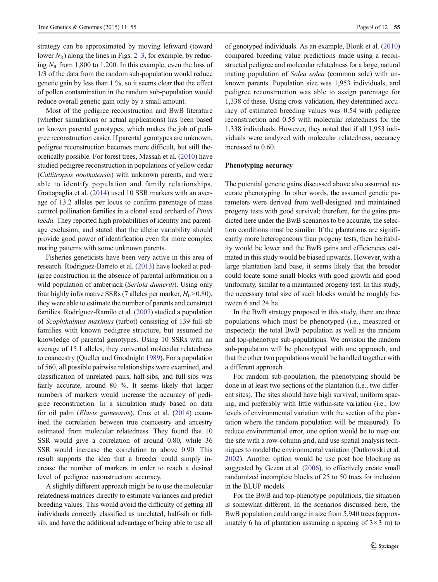strategy can be approximated by moving leftward (toward lower  $N_R$ ) along the lines in Figs. [2](#page-5-0)–[3,](#page-5-0) for example, by reducing  $N_R$  from 1,800 to 1,200. In this example, even the loss of 1/3 of the data from the random sub-population would reduce genetic gain by less than 1 %, so it seems clear that the effect of pollen contamination in the random sub-population would reduce overall genetic gain only by a small amount.

Most of the pedigree reconstruction and BwB literature (whether simulations or actual applications) has been based on known parental genotypes, which makes the job of pedigree reconstruction easier. If parental genotypes are unknown, pedigree reconstruction becomes more difficult, but still theoretically possible. For forest trees, Massah et al. ([2010](#page-11-0)) have studied pedigree reconstruction in populations of yellow cedar (Callitropsis nootkatensis) with unknown parents, and were able to identify population and family relationships. Grattapaglia et al. ([2014](#page-11-0)) used 10 SSR markers with an average of 13.2 alleles per locus to confirm parentage of mass control pollination families in a clonal seed orchard of Pinus taeda. They reported high probabilities of identity and parentage exclusion, and stated that the allelic variability should provide good power of identification even for more complex mating patterns with some unknown parents.

Fisheries geneticists have been very active in this area of research. Rodriguez-Barreto et al. [\(2013\)](#page-11-0) have looked at pedigree construction in the absence of parental information on a wild population of amberjack (Seriola dumerili). Using only four highly informative SSRs (7 alleles per marker,  $H_0 > 0.80$ ), they were able to estimate the number of parents and construct families. Rodríguez-Ramilo et al. [\(2007\)](#page-11-0) studied a population of Scophthalmus maximus (turbot) consisting of 139 full-sib families with known pedigree structure, but assumed no knowledge of parental genotypes. Using 10 SSRs with an average of 15.1 alleles, they converted molecular relatedness to coancestry (Queller and Goodnight [1989\)](#page-11-0). For a population of 560, all possible pairwise relationships were examined, and classification of unrelated pairs, half-sibs, and full-sibs was fairly accurate, around 80 %. It seems likely that larger numbers of markers would increase the accuracy of pedigree reconstruction. In a simulation study based on data for oil palm (Elaeis guineensis), Cros et al. ([2014](#page-11-0)) examined the correlation between true coancestry and ancestry estimated from molecular relatedness. They found that 10 SSR would give a correlation of around 0.80, while 36 SSR would increase the correlation to above 0.90. This result supports the idea that a breeder could simply increase the number of markers in order to reach a desired level of pedigree reconstruction accuracy.

A slightly different approach might be to use the molecular relatedness matrices directly to estimate variances and predict breeding values. This would avoid the difficulty of getting all individuals correctly classified as unrelated, half-sib or fullsib, and have the additional advantage of being able to use all of genotyped individuals. As an example, Blonk et al. [\(2010](#page-11-0)) compared breeding value predictions made using a reconstructed pedigree and molecular relatedness for a large, natural mating population of *Solea solea* (common sole) with unknown parents. Population size was 1,953 individuals, and pedigree reconstruction was able to assign parentage for 1,338 of these. Using cross validation, they determined accuracy of estimated breeding values was 0.54 with pedigree reconstruction and 0.55 with molecular relatedness for the 1,338 individuals. However, they noted that if all 1,953 individuals were analyzed with molecular relatedness, accuracy increased to 0.60.

# Phenotyping accuracy

The potential genetic gains discussed above also assumed accurate phenotyping. In other words, the assumed genetic parameters were derived from well-designed and maintained progeny tests with good survival; therefore, for the gains predicted here under the BwB scenarios to be accurate, the selection conditions must be similar. If the plantations are significantly more heterogeneous than progeny tests, then heritability would be lower and the BwB gains and efficiencies estimated in this study would be biased upwards. However, with a large plantation land base, it seems likely that the breeder could locate some small blocks with good growth and good uniformity, similar to a maintained progeny test. In this study, the necessary total size of such blocks would be roughly between 6 and 24 ha.

In the BwB strategy proposed in this study, there are three populations which must be phenotyped (i.e., measured or inspected): the total BwB population as well as the random and top-phenotype sub-populations. We envision the random sub-population will be phenotyped with one approach, and that the other two populations would be handled together with a different approach.

For random sub-population, the phenotyping should be done in at least two sections of the plantation (i.e., two different sites). The sites should have high survival, uniform spacing, and preferably with little within-site variation (i.e., low levels of environmental variation with the section of the plantation where the random population will be measured). To reduce environmental error, one option would be to map out the site with a row-column grid, and use spatial analysis techniques to model the environmental variation (Dutkowski et al. [2002](#page-11-0)). Another option would be use post hoc blocking as suggested by Gezan et al. [\(2006\)](#page-11-0), to effectively create small randomized incomplete blocks of 25 to 50 trees for inclusion in the BLUP models.

For the BwB and top-phenotype populations, the situation is somewhat different. In the scenarios discussed here, the BwB population could range in size from 5,940 trees (approximately 6 ha of plantation assuming a spacing of  $3 \times 3$  m) to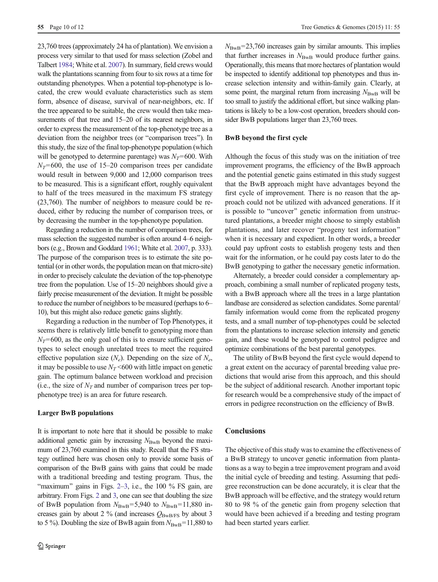23,760 trees (approximately 24 ha of plantation). We envision a process very similar to that used for mass selection (Zobel and Talbert [1984](#page-11-0); White et al. [2007](#page-11-0)). In summary, field crews would walk the plantations scanning from four to six rows at a time for outstanding phenotypes. When a potential top-phenotype is located, the crew would evaluate characteristics such as stem form, absence of disease, survival of near-neighbors, etc. If the tree appeared to be suitable, the crew would then take measurements of that tree and 15–20 of its nearest neighbors, in order to express the measurement of the top-phenotype tree as a deviation from the neighbor trees (or "comparison trees"). In this study, the size of the final top-phenotype population (which will be genotyped to determine parentage) was  $N<sub>T</sub>=600$ . With  $N_T$ =600, the use of 15–20 comparison trees per candidate would result in between 9,000 and 12,000 comparison trees to be measured. This is a significant effort, roughly equivalent to half of the trees measured in the maximum FS strategy (23,760). The number of neighbors to measure could be reduced, either by reducing the number of comparison trees, or by decreasing the number in the top-phenotype population.

Regarding a reduction in the number of comparison trees, for mass selection the suggested number is often around 4–6 neighbors (e.g., Brown and Goddard [1961;](#page-11-0) White et al. [2007,](#page-11-0) p. 333). The purpose of the comparison trees is to estimate the site potential (or in other words, the population mean on that micro-site) in order to precisely calculate the deviation of the top-phenotype tree from the population. Use of 15–20 neighbors should give a fairly precise measurement of the deviation. It might be possible to reduce the number of neighbors to be measured (perhaps to 6– 10), but this might also reduce genetic gains slightly.

Regarding a reduction in the number of Top Phenotypes, it seems there is relatively little benefit to genotyping more than  $N_T$ =600, as the only goal of this is to ensure sufficient genotypes to select enough unrelated trees to meet the required effective population size  $(N_e)$ . Depending on the size of  $N_e$ , it may be possible to use  $N<sub>T</sub>$  <600 with little impact on genetic gain. The optimum balance between workload and precision (i.e., the size of  $N<sub>T</sub>$  and number of comparison trees per topphenotype tree) is an area for future research.

## Larger BwB populations

It is important to note here that it should be possible to make additional genetic gain by increasing  $N_{\text{BwB}}$  beyond the maximum of 23,760 examined in this study. Recall that the FS strategy outlined here was chosen only to provide some basis of comparison of the BwB gains with gains that could be made with a traditional breeding and testing program. Thus, the "maximum" gains in Figs.  $2-3$  $2-3$  $2-3$ , i.e., the 100 % FS gain, are arbitrary. From Figs. [2](#page-5-0) and [3](#page-5-0), one can see that doubling the size of BwB population from  $N_{\text{BwB}}=5,940$  to  $N_{\text{BwB}}=11,880$  increases gain by about 2 % (and increases  $Q_{\text{BwB/FS}}$  by about 3 to 5 %). Doubling the size of BwB again from  $N_{\text{BwB}}=11,880$  to

 $N_{\text{BwB}}$ =23,760 increases gain by similar amounts. This implies that further increases in  $N_{\text{BwB}}$  would produce further gains. Operationally, this means that more hectares of plantation would be inspected to identify additional top phenotypes and thus increase selection intensity and within-family gain. Clearly, at some point, the marginal return from increasing  $N_{\text{BwB}}$  will be too small to justify the additional effort, but since walking plantations is likely to be a low-cost operation, breeders should consider BwB populations larger than 23,760 trees.

## BwB beyond the first cycle

Although the focus of this study was on the initiation of tree improvement programs, the efficiency of the BwB approach and the potential genetic gains estimated in this study suggest that the BwB approach might have advantages beyond the first cycle of improvement. There is no reason that the approach could not be utilized with advanced generations. If it is possible to "uncover" genetic information from unstructured plantations, a breeder might choose to simply establish plantations, and later recover "progeny test information" when it is necessary and expedient. In other words, a breeder could pay upfront costs to establish progeny tests and then wait for the information, or he could pay costs later to do the BwB genotyping to gather the necessary genetic information.

Alternately, a breeder could consider a complementary approach, combining a small number of replicated progeny tests, with a BwB approach where all the trees in a large plantation landbase are considered as selection candidates. Some parental/ family information would come from the replicated progeny tests, and a small number of top-phenotypes could be selected from the plantations to increase selection intensity and genetic gain, and these would be genotyped to control pedigree and optimize combinations of the best parental genotypes.

The utility of BwB beyond the first cycle would depend to a great extent on the accuracy of parental breeding value predictions that would arise from this approach, and this should be the subject of additional research. Another important topic for research would be a comprehensive study of the impact of errors in pedigree reconstruction on the efficiency of BwB.

# **Conclusions**

The objective of this study was to examine the effectiveness of a BwB strategy to uncover genetic information from plantations as a way to begin a tree improvement program and avoid the initial cycle of breeding and testing. Assuming that pedigree reconstruction can be done accurately, it is clear that the BwB approach will be effective, and the strategy would return 80 to 98 % of the genetic gain from progeny selection that would have been achieved if a breeding and testing program had been started years earlier.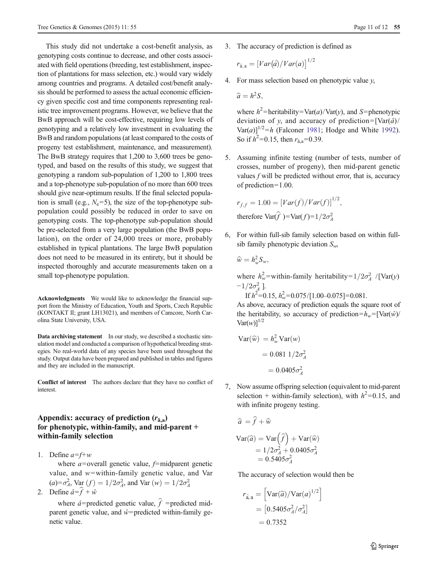<span id="page-10-0"></span>This study did not undertake a cost-benefit analysis, as genotyping costs continue to decrease, and other costs associated with field operations (breeding, test establishment, inspection of plantations for mass selection, etc.) would vary widely among countries and programs. A detailed cost/benefit analysis should be performed to assess the actual economic efficiency given specific cost and time components representing realistic tree improvement programs. However, we believe that the BwB approach will be cost-effective, requiring low levels of genotyping and a relatively low investment in evaluating the BwB and random populations (at least compared to the costs of progeny test establishment, maintenance, and measurement). The BwB strategy requires that 1,200 to 3,600 trees be genotyped, and based on the results of this study, we suggest that genotyping a random sub-population of 1,200 to 1,800 trees and a top-phenotype sub-population of no more than 600 trees should give near-optimum results. If the final selected population is small (e.g.,  $N_e=5$ ), the size of the top-phenotype subpopulation could possibly be reduced in order to save on genotyping costs. The top-phenotype sub-population should be pre-selected from a very large population (the BwB population), on the order of 24,000 trees or more, probably established in typical plantations. The large BwB population does not need to be measured in its entirety, but it should be inspected thoroughly and accurate measurements taken on a small top-phenotype population.

Acknowledgments We would like to acknowledge the financial support from the Ministry of Education, Youth and Sports, Czech Republic (KONTAKT II; grant LH13021), and members of Camcore, North Carolina State University, USA.

Data archiving statement In our study, we described a stochastic simulation model and conducted a comparison of hypothetical breeding strategies. No real-world data of any species have been used throughout the study. Output data have been prepared and published in tables and figures and they are included in the manuscript.

Conflict of interest The authors declare that they have no conflict of **interest** 

# Appendix: accuracy of prediction  $(r_{\hat{a},a})$ for phenotypic, within-family, and mid-parent + within-family selection

1. Define  $a=f+w$ 

where  $a$ =overall genetic value,  $f$ =midparent genetic value, and w=within-family genetic value, and Var  $(a) = \sigma_A^2$ , Var  $(f) = 1/2\sigma_A^2$ , and Var  $(w) = 1/2\sigma_A^2$ 2. Define  $\hat{a} = \hat{f} + \hat{w}$ 

where  $\hat{a}$ =predicted genetic value,  $\hat{f}$  =predicted midparent genetic value, and  $\hat{w}$ =predicted within-family genetic value.

3. The accuracy of prediction is defined as

$$
r_{\hat{\mathbf{a}},\mathbf{a}} = \left[ Var\left(\hat{a}\right) / Var(a) \right]^{1/2}
$$

4. For mass selection based on phenotypic value  $y$ ,

$$
\widehat{a}=h^2S,
$$

where  $h^2$ =heritability=Var(a)/Var(y), and S=phenotypic deviation of y, and accuracy of prediction=  $[Var(\hat{a})/$  $Var(a)|^{1/2} = h$  (Falconer [1981;](#page-11-0) Hodge and White [1992\)](#page-11-0). So if  $h^2$ =0.15, then  $r_{\hat{a},a}$ =0.39.

5. Assuming infinite testing (number of tests, number of crosses, number of progeny), then mid-parent genetic values  $f$  will be predicted without error, that is, accuracy of prediction=1.00.

 $1-2$ 

$$
r_{\hat{f},f} = 1.00 = \left[Var(\hat{f})/Var(f)\right]^{1/2},
$$
  
therefore  $Var(\hat{f}) = Var(f) = 1/2\sigma_A^2$ 

6, For within full-sib family selection based on within fullsib family phenotypic deviation  $S_w$ ,

$$
\widehat{w}=h_w^2S_w,
$$

where  $h_w^2$ =within-family heritability= $1/2\sigma_A^2$  /[Var(y)  $-1/2\sigma_A^2$  ]. If  $h^2 = 0.15$ ,  $h_w^2 = 0.075/[1.00 - 0.075] = 0.081$ .

As above, accuracy of prediction equals the square root of the heritability, so accuracy of prediction= $h_w = \frac{V}{W}$  $Var(w)]^{1/2}$ 

$$
Var(\widehat{w}) = h_w^2 Var(w)
$$

$$
= 0.081 \frac{1}{2\sigma_A^2}
$$

$$
= 0.0405\sigma_A^2
$$

7, Now assume offspring selection (equivalent to mid-parent selection + within-family selection), with  $h^2$ =0.15, and with infinite progeny testing.

$$
\begin{aligned} \widehat{a} &= \widehat{f} + \widehat{w} \\ \text{Var}(\widehat{a}) &= \text{Var}\left(\widehat{f}\right) + \text{Var}(\widehat{w}) \\ &= 1/2\sigma_A^2 + 0.0405\sigma_A^2 \\ &= 0.5405\sigma_A^2 \end{aligned}
$$

The accuracy of selection would then be

$$
r_{\hat{\mathbf{a}}, \mathbf{a}} = \left[ \text{Var}(\hat{a}) / \text{Var}(a)^{1/2} \right]
$$

$$
= \left[ 0.5405 \sigma_A^2 / \sigma_A^2 \right]
$$

$$
= 0.7352
$$